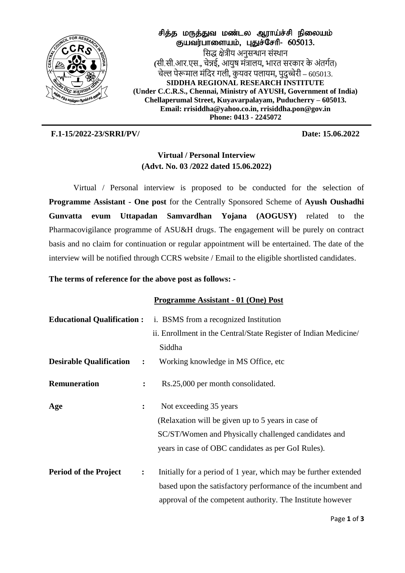

சித்த மருத்துவ மண்டல ஆராய்ச்சி நிலையம் குயவர்பாளையம், பதுச்சேரி-  $605013$ . सिद्ध क्षेत्रीय अनुसन्धान संस्थान **(**िी.िी.आर.एि.**,** चेन्नई**,** आयुष मंत्रालय**,** भारत िरकार के अंतर्गत) चेल्ल पेरूमाल मंसदर र्ली**,** कु यवर पलायम**,** पुदुच्चेरी **–** 605013. **SIDDHA REGIONAL RESEARCH INSTITUTE (Under C.C.R.S., Chennai, Ministry of AYUSH, Government of India) Chellaperumal Street, Kuyavarpalayam, Puducherry – 605013. Email: rrisiddha@yahoo.co.in, rrisiddha.pon@gov.in Phone: 0413 - 2245072** 

**F.1-15/2022-23/SRRI/PV/ Date: 15.06.2022**

# **Virtual / Personal Interview (Advt. No. 03 /2022 dated 15.06.2022)**

Virtual / Personal interview is proposed to be conducted for the selection of **Programme Assistant - One post** for the Centrally Sponsored Scheme of **Ayush Oushadhi Gunvatta evum Uttapadan Samvardhan Yojana (AOGUSY)** related to the Pharmacovigilance programme of ASU&H drugs. The engagement will be purely on contract basis and no claim for continuation or regular appointment will be entertained. The date of the interview will be notified through CCRS website / Email to the eligible shortlisted candidates.

**The terms of reference for the above post as follows: -**

## **Programme Assistant - 01 (One) Post**

|                                |                | <b>Educational Qualification :</b> i. BSMS from a recognized Institution |
|--------------------------------|----------------|--------------------------------------------------------------------------|
|                                |                | ii. Enrollment in the Central/State Register of Indian Medicine/         |
|                                |                | Siddha                                                                   |
| <b>Desirable Qualification</b> | $\ddot{\cdot}$ | Working knowledge in MS Office, etc.                                     |
| <b>Remuneration</b>            | $\ddot{\cdot}$ | Rs.25,000 per month consolidated.                                        |
| Age                            | $\ddot{\cdot}$ | Not exceeding 35 years                                                   |
|                                |                | (Relaxation will be given up to 5 years in case of                       |
|                                |                | SC/ST/Women and Physically challenged candidates and                     |
|                                |                | years in case of OBC candidates as per GoI Rules).                       |
| <b>Period of the Project</b>   | $\ddot{\cdot}$ | Initially for a period of 1 year, which may be further extended          |
|                                |                | based upon the satisfactory performance of the incumbent and             |
|                                |                | approval of the competent authority. The Institute however               |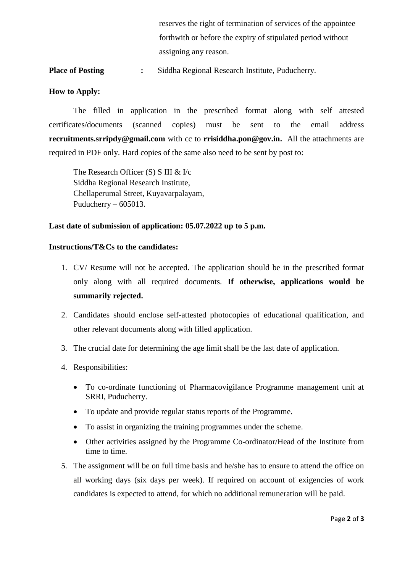reserves the right of termination of services of the appointee forthwith or before the expiry of stipulated period without assigning any reason.

### **Place of Posting :** Siddha Regional Research Institute, Puducherry.

#### **How to Apply:**

The filled in application in the prescribed format along with self attested certificates/documents (scanned copies) must be sent to the email address **recruitments.srripdy@gmail.com** with cc to **rrisiddha.pon@gov.in.** All the attachments are required in PDF only. Hard copies of the same also need to be sent by post to:

The Research Officer (S) S III & I/c Siddha Regional Research Institute, Chellaperumal Street, Kuyavarpalayam, Puducherry – 605013.

#### **Last date of submission of application: 05.07.2022 up to 5 p.m.**

#### **Instructions/T&Cs to the candidates:**

- 1. CV/ Resume will not be accepted. The application should be in the prescribed format only along with all required documents. **If otherwise, applications would be summarily rejected.**
- 2. Candidates should enclose self-attested photocopies of educational qualification, and other relevant documents along with filled application.
- 3. The crucial date for determining the age limit shall be the last date of application.
- 4. Responsibilities:
	- To co-ordinate functioning of Pharmacovigilance Programme management unit at SRRI, Puducherry.
	- To update and provide regular status reports of the Programme.
	- To assist in organizing the training programmes under the scheme.
	- Other activities assigned by the Programme Co-ordinator/Head of the Institute from time to time.
- 5. The assignment will be on full time basis and he/she has to ensure to attend the office on all working days (six days per week). If required on account of exigencies of work candidates is expected to attend, for which no additional remuneration will be paid.